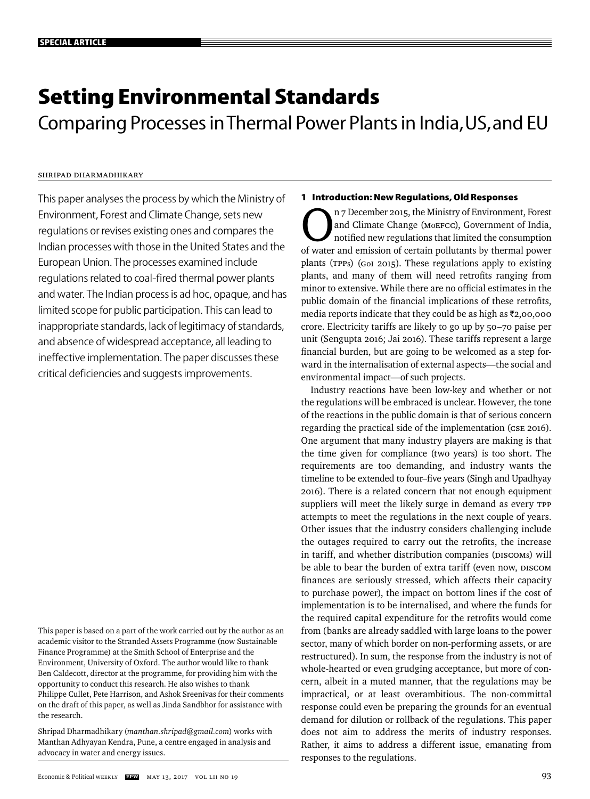# **Setting Environmental Standards**

Comparing Processes in Thermal Power Plants in India, US, and EU

# Shripad Dharmadhikary

This paper analyses the process by which the Ministry of Environment, Forest and Climate Change, sets new regulations or revises existing ones and compares the Indian processes with those in the United States and the European Union. The processes examined include regulations related to coal-fired thermal power plants and water. The Indian process is ad hoc, opaque, and has limited scope for public participation. This can lead to inappropriate standards, lack of legitimacy of standards, and absence of widespread acceptance, all leading to ineffective implementation. The paper discusses these critical deficiencies and suggests improvements.

This paper is based on a part of the work carried out by the author as an academic visitor to the Stranded Assets Programme (now Sustainable Finance Programme) at the Smith School of Enterprise and the Environment, University of Oxford. The author would like to thank Ben Caldecott, director at the programme, for providing him with the opportunity to conduct this research. He also wishes to thank Philippe Cullet, Pete Harrison, and Ashok Sreenivas for their comments on the draft of this paper, as well as Jinda Sandbhor for assistance with the research.

Shripad Dharmadhikary (*manthan.shripad@gmail.com*) works with Manthan Adhyayan Kendra, Pune, a centre engaged in analysis and advocacy in water and energy issues.

# **1 Introduction: New Regulations, Old Responses**

The Ministry of Environment, Forest<br>and Climate Change (MOEFCC), Government of India,<br>notified new regulations that limited the consumption<br>of water and emission of certain pollutants by thermal power and Climate Change (MoEFCC), Government of India, notified new regulations that limited the consumption of water and emission of certain pollutants by thermal power plants (TPPs) (GoI 2015). These regulations apply to existing plants, and many of them will need retrofits ranging from minor to extensive. While there are no official estimates in the public domain of the financial implications of these retrofits, media reports indicate that they could be as high as  $\bar{\tau}$ 2,00,000 crore. Electricity tariffs are likely to go up by 50–70 paise per unit (Sengupta 2016; Jai 2016). These tariffs represent a large financial burden, but are going to be welcomed as a step forward in the internalisation of external aspects—the social and environmental impact—of such projects.

Industry reactions have been low-key and whether or not the regulations will be embraced is unclear. However, the tone of the reactions in the public domain is that of serious concern regarding the practical side of the implementation (CSE 2016). One argument that many industry players are making is that the time given for compliance (two years) is too short. The requirements are too demanding, and industry wants the timeline to be extended to four–five years (Singh and Upadhyay 2016). There is a related concern that not enough equipment suppliers will meet the likely surge in demand as every TPP attempts to meet the regulations in the next couple of years. Other issues that the industry considers challenging include the outages required to carry out the retrofits, the increase in tariff, and whether distribution companies (DISCOMs) will be able to bear the burden of extra tariff (even now, DISCOM finances are seriously stressed, which affects their capacity to purchase power), the impact on bottom lines if the cost of implementation is to be internalised, and where the funds for the required capital expenditure for the retrofits would come from (banks are already saddled with large loans to the power sector, many of which border on non-performing assets, or are restructured). In sum, the response from the industry is not of whole-hearted or even grudging acceptance, but more of concern, albeit in a muted manner, that the regulations may be impractical, or at least overambitious. The non-committal response could even be preparing the grounds for an eventual demand for dilution or rollback of the regulations. This paper does not aim to address the merits of industry responses. Rather, it aims to address a different issue, emanating from responses to the regulations.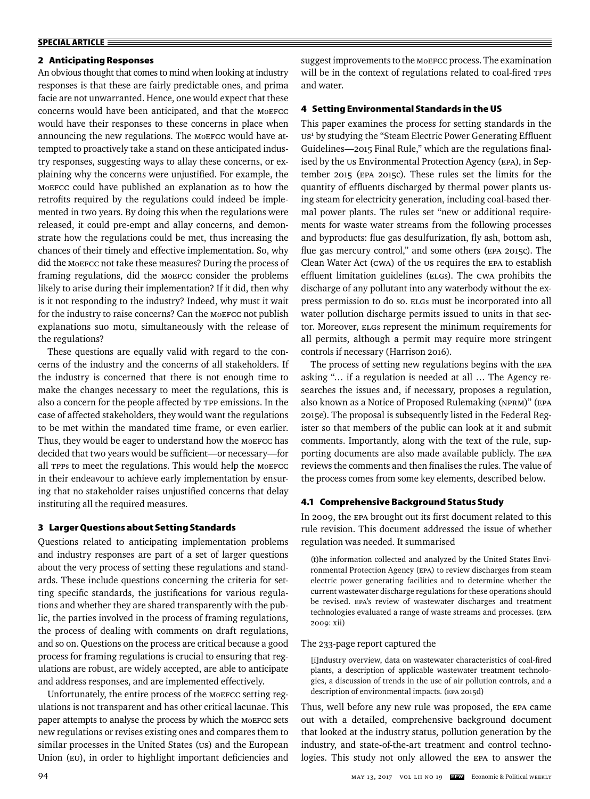#### **SPECIAL ARTICLE**

## **2 Anticipating Responses**

An obvious thought that comes to mind when looking at industry responses is that these are fairly predictable ones, and prima facie are not unwarranted. Hence, one would expect that these concerns would have been anticipated, and that the MoEFCC would have their responses to these concerns in place when announcing the new regulations. The MoEFCC would have attempted to proactively take a stand on these anticipated industry responses, suggesting ways to allay these concerns, or explaining why the concerns were unjustified. For example, the MoEFCC could have published an explanation as to how the retrofits required by the regulations could indeed be implemented in two years. By doing this when the regulations were released, it could pre-empt and allay concerns, and demonstrate how the regulations could be met, thus increasing the chances of their timely and effective implementation. So, why did the MoEFCC not take these measures? During the process of framing regulations, did the MoEFCC consider the problems likely to arise during their implementation? If it did, then why is it not responding to the industry? Indeed, why must it wait for the industry to raise concerns? Can the MOEFCC not publish explanations suo motu, simultaneously with the release of the regulations?

These questions are equally valid with regard to the concerns of the industry and the concerns of all stakeholders. If the industry is concerned that there is not enough time to make the changes necessary to meet the regulations, this is also a concern for the people affected by TPP emissions. In the case of affected stakeholders, they would want the regulations to be met within the mandated time frame, or even earlier. Thus, they would be eager to understand how the MOEFCC has decided that two years would be sufficient-or necessary-for all TPPs to meet the regulations. This would help the MoEFCC in their endeavour to achieve early implementation by ensuring that no stakeholder raises unjustified concerns that delay instituting all the required measures.

## **3 Larger Questions about Setting Standards**

Questions related to anticipating implementation problems and industry responses are part of a set of larger questions about the very process of setting these regulations and standards. These include questions concerning the criteria for setting specific standards, the justifications for various regulations and whether they are shared transparently with the public, the parties involved in the process of framing regulations, the process of dealing with comments on draft regulations, and so on. Questions on the process are critical because a good process for framing regulations is crucial to ensuring that regulations are robust, are widely accepted, are able to anticipate and address responses, and are implemented effectively.

Unfortunately, the entire process of the MoEFCC setting regulations is not transparent and has other critical lacunae. This paper attempts to analyse the process by which the MoEFCC sets new regulations or revises existing ones and compares them to similar processes in the United States (US) and the European Union (EU), in order to highlight important deficiencies and suggest improvements to the MoEFCC process. The examination will be in the context of regulations related to coal-fired TPPs and water.

#### **4 Setting Environmental Standards in the US**

This paper examines the process for setting standards in the US<sup>1</sup> by studying the "Steam Electric Power Generating Effluent Guidelines—2015 Final Rule," which are the regulations finalised by the us Environmental Protection Agency (EPA), in September 2015 (EPA 2015c). These rules set the limits for the quantity of effluents discharged by thermal power plants using steam for electricity generation, including coal-based thermal power plants. The rules set "new or additional requirements for waste water streams from the following processes and byproducts: flue gas desulfurization, fly ash, bottom ash, flue gas mercury control," and some others (EPA 2015c). The Clean Water Act (CWA) of the US requires the EPA to establish effluent limitation guidelines (ELGs). The CWA prohibits the discharge of any pollutant into any waterbody without the express permission to do so. ELGs must be incorporated into all water pollution discharge permits issued to units in that sector. Moreover, ELGs represent the minimum requirements for all permits, although a permit may require more stringent controls if necessary (Harrison 2016).

The process of setting new regulations begins with the EPA asking "… if a regulation is needed at all … The Agency researches the issues and, if necessary, proposes a regulation, also known as a Notice of Proposed Rulemaking (NPRM)" (EPA 2015e). The proposal is subsequently listed in the Federal Register so that members of the public can look at it and submit comments. Importantly, along with the text of the rule, supporting documents are also made available publicly. The EPA reviews the comments and then finalises the rules. The value of the process comes from some key elements, described below.

#### **4.1 Comprehensive Background Status Study**

In 2009, the EPA brought out its first document related to this rule revision. This document addressed the issue of whether regulation was needed. It summarised

(t)he information collected and analyzed by the United States Environmental Protection Agency (EPA) to review discharges from steam electric power generating facilities and to determine whether the current wastewater discharge regulations for these operations should be revised. EPA's review of wastewater discharges and treatment technologies evaluated a range of waste streams and processes. (EPA 2009: xii)

#### The 233-page report captured the

[i]ndustry overview, data on wastewater characteristics of coal-fired plants, a description of applicable wastewater treatment technologies, a discussion of trends in the use of air pollution controls, and a description of environmental impacts. (EPA 2015d)

Thus, well before any new rule was proposed, the EPA came out with a detailed, comprehensive background document that looked at the industry status, pollution generation by the industry, and state-of-the-art treatment and control technologies. This study not only allowed the EPA to answer the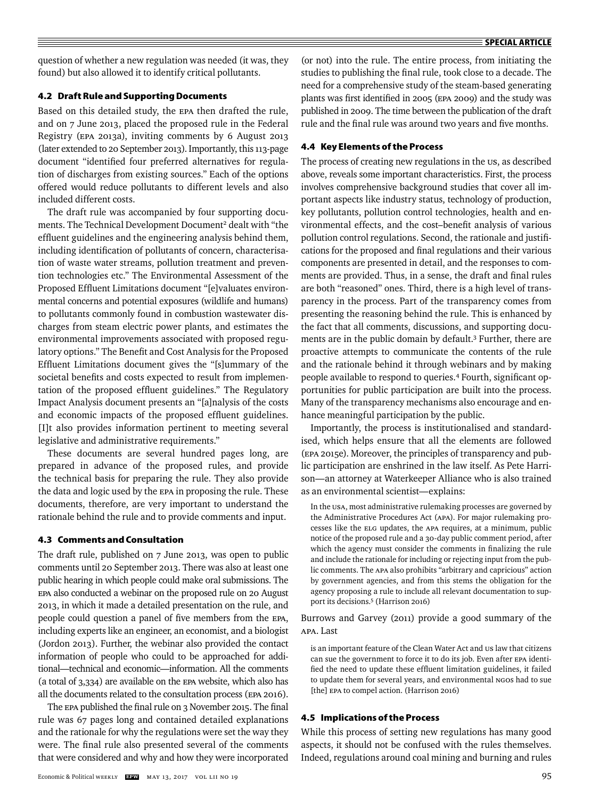question of whether a new regulation was needed (it was, they found) but also allowed it to identify critical pollutants.

# **4.2 Draft Rule and Supporting Documents**

Based on this detailed study, the EPA then drafted the rule, and on 7 June 2013, placed the proposed rule in the Federal Registry (EPA 2013a), inviting comments by 6 August 2013 (later extended to 20 September 2013). Importantly, this 113-page document "identified four preferred alternatives for regulation of discharges from existing sources." Each of the options offered would reduce pollutants to different levels and also included different costs.

The draft rule was accompanied by four supporting documents. The Technical Development Document<sup>2</sup> dealt with "the effluent guidelines and the engineering analysis behind them, including identification of pollutants of concern, characterisation of waste water streams, pollution treatment and prevention technologies etc." The Environmental Assessment of the Proposed Effluent Limitations document "[e]valuates environmental concerns and potential exposures (wildlife and humans) to pollutants commonly found in combustion wastewater discharges from steam electric power plants, and estimates the environmental improvements associated with proposed regulatory options." The Benefit and Cost Analysis for the Proposed Effluent Limitations document gives the "[s]ummary of the societal benefits and costs expected to result from implementation of the proposed effluent guidelines." The Regulatory Impact Analysis document presents an "[a]nalysis of the costs and economic impacts of the proposed effluent guidelines. [I]t also provides information pertinent to meeting several legislative and administrative requirements."

These documents are several hundred pages long, are prepared in advance of the proposed rules, and provide the technical basis for preparing the rule. They also provide the data and logic used by the EPA in proposing the rule. These documents, therefore, are very important to understand the rationale behind the rule and to provide comments and input.

#### **4.3 Comments and Consultation**

The draft rule, published on 7 June 2013, was open to public comments until 20 September 2013. There was also at least one public hearing in which people could make oral submissions. The EPA also conducted a webinar on the proposed rule on 20 August 2013, in which it made a detailed presentation on the rule, and people could question a panel of five members from the EPA, including experts like an engineer, an economist, and a biologist (Jordon 2013). Further, the webinar also provided the contact information of people who could to be approached for additional—technical and economic—information. All the comments (a total of 3,334) are available on the EPA website, which also has all the documents related to the consultation process (EPA 2016).

The EPA published the final rule on 3 November 2015. The final rule was 67 pages long and contained detailed explanations and the rationale for why the regulations were set the way they were. The final rule also presented several of the comments that were considered and why and how they were incorporated (or not) into the rule. The entire process, from initiating the studies to publishing the final rule, took close to a decade. The need for a comprehensive study of the steam-based generating plants was first identified in 2005 (EPA 2009) and the study was published in 2009. The time between the publication of the draft rule and the final rule was around two years and five months.

## **4.4 Key Elements of the Process**

The process of creating new regulations in the us, as described above, reveals some important characteristics. First, the process involves comprehensive background studies that cover all important aspects like industry status, technology of production, key pollutants, pollution control technologies, health and environmental effects, and the cost-benefit analysis of various pollution control regulations. Second, the rationale and justifications for the proposed and final regulations and their various components are presented in detail, and the responses to comments are provided. Thus, in a sense, the draft and final rules are both "reasoned" ones. Third, there is a high level of transparency in the process. Part of the transparency comes from presenting the reasoning behind the rule. This is enhanced by the fact that all comments, discussions, and supporting documents are in the public domain by default.3 Further, there are proactive attempts to communicate the contents of the rule and the rationale behind it through webinars and by making people available to respond to queries.<sup>4</sup> Fourth, significant opportunities for public participation are built into the process. Many of the transparency mechanisms also encourage and enhance meaningful participation by the public.

Importantly, the process is institutionalised and standardised, which helps ensure that all the elements are followed (EPA 2015e). Moreover, the principles of transparency and public participation are enshrined in the law itself. As Pete Harrison—an attorney at Waterkeeper Alliance who is also trained as an environmental scientist—explains:

In the USA, most administrative rulemaking processes are governed by the Administrative Procedures Act (APA). For major rulemaking processes like the ELG updates, the APA requires, at a minimum, public notice of the proposed rule and a 30-day public comment period, after which the agency must consider the comments in finalizing the rule and include the rationale for including or rejecting input from the public comments. The APA also prohibits "arbitrary and capricious" action by government agencies, and from this stems the obligation for the agency proposing a rule to include all relevant documentation to support its decisions.5 (Harrison 2016)

Burrows and Garvey (2011) provide a good summary of the APA. Last

is an important feature of the Clean Water Act and us law that citizens can sue the government to force it to do its job. Even after EPA identified the need to update these effluent limitation guidelines, it failed to update them for several years, and environmental NGOs had to sue [the] EPA to compel action. (Harrison 2016)

#### **4.5 Implications of the Process**

While this process of setting new regulations has many good aspects, it should not be confused with the rules themselves. Indeed, regulations around coal mining and burning and rules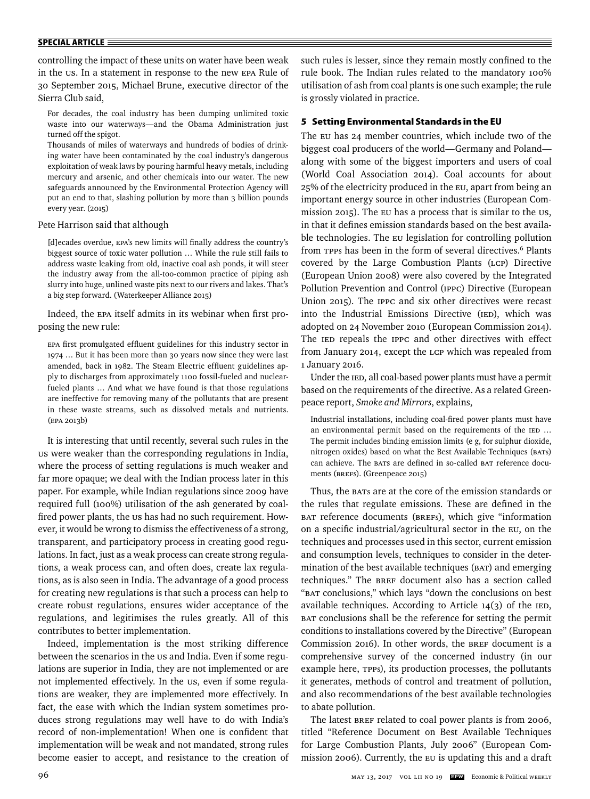#### **SPECIAL ARTICLE**

controlling the impact of these units on water have been weak in the US. In a statement in response to the new EPA Rule of 30 September 2015, Michael Brune, executive director of the Sierra Club said,

For decades, the coal industry has been dumping unlimited toxic waste into our waterways—and the Obama Administration just turned off the spigot.

Thousands of miles of waterways and hundreds of bodies of drinking water have been contaminated by the coal industry's dangerous exploitation of weak laws by pouring harmful heavy metals, including mercury and arsenic, and other chemicals into our water. The new safeguards announced by the Environmental Protection Agency will put an end to that, slashing pollution by more than 3 billion pounds every year. (2015)

#### Pete Harrison said that although

[d]ecades overdue, EPA's new limits will finally address the country's biggest source of toxic water pollution … While the rule still fails to address waste leaking from old, inactive coal ash ponds, it will steer the industry away from the all-too-common practice of piping ash slurry into huge, unlined waste pits next to our rivers and lakes. That's a big step forward. (Waterkeeper Alliance 2015)

Indeed, the EPA itself admits in its webinar when first proposing the new rule:

EPA first promulgated effluent guidelines for this industry sector in 1974 … But it has been more than 30 years now since they were last amended, back in 1982. The Steam Electric effluent guidelines apply to discharges from approximately 1100 fossil-fueled and nuclearfueled plants … And what we have found is that those regulations are ineffective for removing many of the pollutants that are present in these waste streams, such as dissolved metals and nutrients. (EPA 2013b)

It is interesting that until recently, several such rules in the US were weaker than the corresponding regulations in India, where the process of setting regulations is much weaker and far more opaque; we deal with the Indian process later in this paper. For example, while Indian regulations since 2009 have required full (100%) utilisation of the ash generated by coalfired power plants, the us has had no such requirement. However, it would be wrong to dismiss the effectiveness of a strong, transparent, and participatory process in creating good regulations. In fact, just as a weak process can create strong regulations, a weak process can, and often does, create lax regulations, as is also seen in India. The advantage of a good process for creating new regulations is that such a process can help to create robust regulations, ensures wider acceptance of the regulations, and legitimises the rules greatly. All of this contributes to better implementation.

Indeed, implementation is the most striking difference between the scenarios in the us and India. Even if some regulations are superior in India, they are not implemented or are not implemented effectively. In the us, even if some regulations are weaker, they are implemented more effectively. In fact, the ease with which the Indian system sometimes produces strong regulations may well have to do with India's record of non-implementation! When one is confident that implementation will be weak and not mandated, strong rules become easier to accept, and resistance to the creation of such rules is lesser, since they remain mostly confined to the rule book. The Indian rules related to the mandatory 100% utilisation of ash from coal plants is one such example; the rule is grossly violated in practice.

# **5 Setting Environmental Standards in the EU**

The EU has 24 member countries, which include two of the biggest coal producers of the world—Germany and Poland along with some of the biggest importers and users of coal (World Coal Association 2014). Coal accounts for about 25% of the electricity produced in the EU, apart from being an important energy source in other industries (European Commission 2015). The EU has a process that is similar to the US, in that it defines emission standards based on the best available technologies. The EU legislation for controlling pollution from TPPs has been in the form of several directives.<sup>6</sup> Plants covered by the Large Combustion Plants (LCP) Directive (European Union 2008) were also covered by the Integrated Pollution Prevention and Control (IPPC) Directive (European Union 2015). The IPPC and six other directives were recast into the Industrial Emissions Directive (IED), which was adopted on 24 November 2010 (European Commission 2014). The IED repeals the IPPC and other directives with effect from January 2014, except the LCP which was repealed from 1 January 2016.

Under the IED, all coal-based power plants must have a permit based on the requirements of the directive. As a related Greenpeace report, *Smoke and Mirrors*, explains,

Industrial installations, including coal-fired power plants must have an environmental permit based on the requirements of the IED ... The permit includes binding emission limits (e g, for sulphur dioxide, nitrogen oxides) based on what the Best Available Techniques (BATs) can achieve. The BATS are defined in so-called BAT reference documents (BREFs). (Greenpeace 2015)

Thus, the BATs are at the core of the emission standards or the rules that regulate emissions. These are defined in the BAT reference documents (BREFs), which give "information on a specific industrial/agricultural sector in the EU, on the techniques and processes used in this sector, current emission and consumption levels, techniques to consider in the determination of the best available techniques (BAT) and emerging techniques." The BREF document also has a section called "BAT conclusions," which lays "down the conclusions on best available techniques. According to Article 14(3) of the IED, BAT conclusions shall be the reference for setting the permit conditions to installations covered by the Directive" (European Commission 2016). In other words, the BREF document is a comprehensive survey of the concerned industry (in our example here, TPPs), its production processes, the pollutants it generates, methods of control and treatment of pollution, and also recommendations of the best available technologies to abate pollution.

The latest BREF related to coal power plants is from 2006, titled "Reference Document on Best Available Techniques for Large Combustion Plants, July 2006" (European Commission 2006). Currently, the EU is updating this and a draft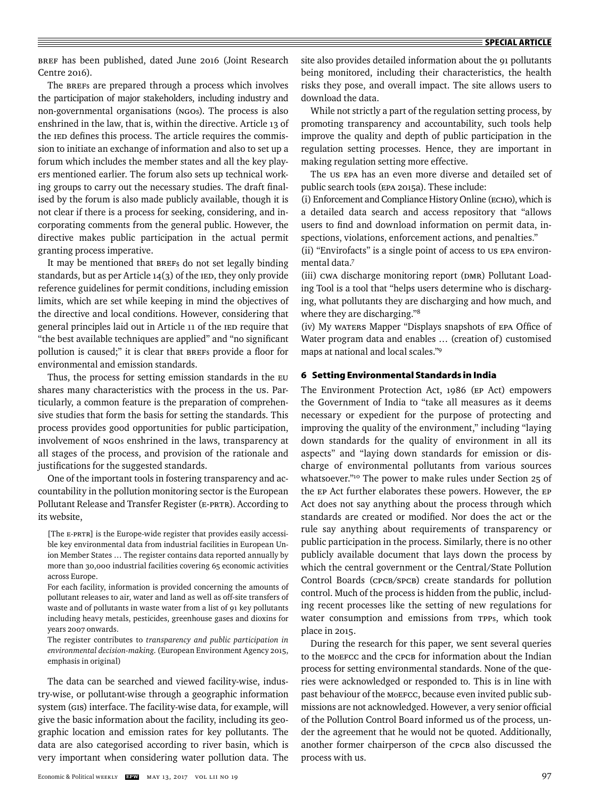BREF has been published, dated June 2016 (Joint Research Centre 2016).

The BREFs are prepared through a process which involves the participation of major stakeholders, including industry and non-governmental organisations (NGOs). The process is also enshrined in the law, that is, within the directive. Article 13 of the IED defines this process. The article requires the commission to initiate an exchange of information and also to set up a forum which includes the member states and all the key players mentioned earlier. The forum also sets up technical working groups to carry out the necessary studies. The draft finalised by the forum is also made publicly available, though it is not clear if there is a process for seeking, considering, and incorporating comments from the general public. However, the directive makes public participation in the actual permit granting process imperative.

It may be mentioned that BREFs do not set legally binding standards, but as per Article 14(3) of the IED, they only provide reference guidelines for permit conditions, including emission limits, which are set while keeping in mind the objectives of the directive and local conditions. However, considering that general principles laid out in Article 11 of the IED require that "the best available techniques are applied" and "no significant pollution is caused;" it is clear that BREFs provide a floor for environmental and emission standards.

Thus, the process for setting emission standards in the EU shares many characteristics with the process in the us. Particularly, a common feature is the preparation of comprehensive studies that form the basis for setting the standards. This process provides good opportunities for public participation, involvement of NGOs enshrined in the laws, transparency at all stages of the process, and provision of the rationale and justifications for the suggested standards.

One of the important tools in fostering transparency and accountability in the pollution monitoring sector is the European Pollutant Release and Transfer Register (E-PRTR). According to its website,

- [The E-PRTR] is the Europe-wide register that provides easily accessible key environmental data from industrial facilities in European Union Member States … The register contains data reported annually by more than 30,000 industrial facilities covering 65 economic activities across Europe.
- For each facility, information is provided concerning the amounts of pollutant releases to air, water and land as well as off-site transfers of waste and of pollutants in waste water from a list of 91 key pollutants including heavy metals, pesticides, greenhouse gases and dioxins for years 2007 onwards.
- The register contributes to *transparency and public participation in environmental decision-making*. (European Environment Agency 2015, emphasis in original)

The data can be searched and viewed facility-wise, industry-wise, or pollutant-wise through a geographic information system (GIS) interface. The facility-wise data, for example, will give the basic information about the facility, including its geographic location and emission rates for key pollutants. The data are also categorised according to river basin, which is very important when considering water pollution data. The site also provides detailed information about the 91 pollutants being monitored, including their characteristics, the health risks they pose, and overall impact. The site allows users to download the data.

While not strictly a part of the regulation setting process, by promoting transparency and accountability, such tools help improve the quality and depth of public participation in the regulation setting processes. Hence, they are important in making regulation setting more effective.

The US EPA has an even more diverse and detailed set of public search tools (EPA 2015a). These include:

(i) Enforcement and Compliance History Online (ECHO), which is a detailed data search and access repository that "allows users to find and download information on permit data, inspections, violations, enforcement actions, and penalties."

(ii) "Envirofacts" is a single point of access to US EPA environmental data.7

(iii) CWA discharge monitoring report (DMR) Pollutant Loading Tool is a tool that "helps users determine who is discharging, what pollutants they are discharging and how much, and where they are discharging."8

(iv) My warens Mapper "Displays snapshots of EPA Office of Water program data and enables … (creation of) customised maps at national and local scales."9

# **6 Setting Environmental Standards in India**

The Environment Protection Act, 1986 (EP Act) empowers the Government of India to "take all measures as it deems necessary or expedient for the purpose of protecting and improving the quality of the environment," including "laying down standards for the quality of environment in all its aspects" and "laying down standards for emission or discharge of environmental pollutants from various sources whatsoever."<sup>10</sup> The power to make rules under Section 25 of the EP Act further elaborates these powers. However, the EP Act does not say anything about the process through which standards are created or modified. Nor does the act or the rule say anything about requirements of transparency or public participation in the process. Similarly, there is no other publicly available document that lays down the process by which the central government or the Central/State Pollution Control Boards (CPCB/SPCB) create standards for pollution control. Much of the process is hidden from the public, including recent processes like the setting of new regulations for water consumption and emissions from TPPs, which took place in 2015.

During the research for this paper, we sent several queries to the MoEFCC and the CPCB for information about the Indian process for setting environmental standards. None of the queries were acknowledged or responded to. This is in line with past behaviour of the MoEFCC, because even invited public submissions are not acknowledged. However, a very senior official of the Pollution Control Board informed us of the process, under the agreement that he would not be quoted. Additionally, another former chairperson of the CPCB also discussed the process with us.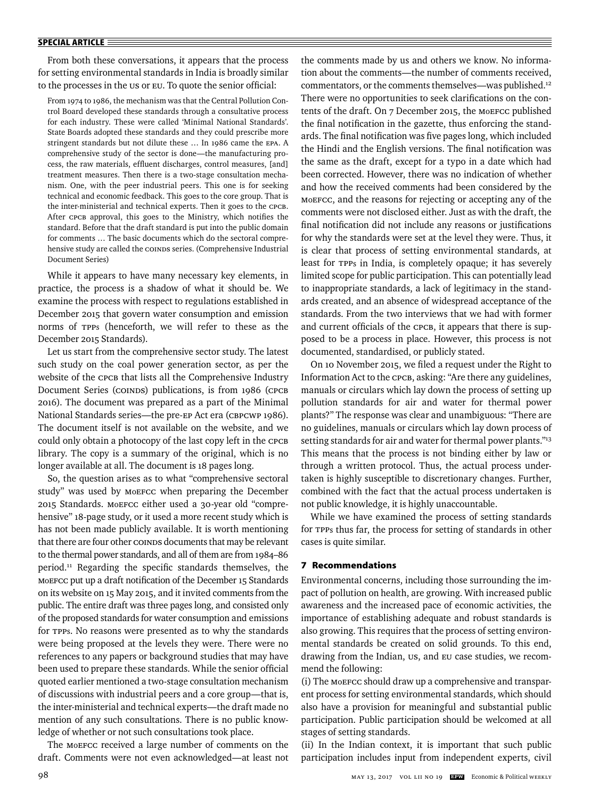#### **SPECIAL ARTICLE**

From both these conversations, it appears that the process for setting environmental standards in India is broadly similar to the processes in the US or EU. To quote the senior official:

From 1974 to 1986, the mechanism was that the Central Pollution Control Board developed these standards through a consultative process for each industry. These were called 'Minimal National Standards'. State Boards adopted these standards and they could prescribe more stringent standards but not dilute these … In 1986 came the EPA. A comprehensive study of the sector is done—the manufacturing process, the raw materials, effluent discharges, control measures, [and] treatment measures. Then there is a two-stage consultation mechanism. One, with the peer industrial peers. This one is for seeking technical and economic feedback. This goes to the core group. That is the inter-ministerial and technical experts. Then it goes to the CPCB. After CPCB approval, this goes to the Ministry, which notifies the standard. Before that the draft standard is put into the public domain for comments … The basic documents which do the sectoral comprehensive study are called the COINDS series. (Comprehensive Industrial Document Series)

While it appears to have many necessary key elements, in practice, the process is a shadow of what it should be. We examine the process with respect to regulations established in December 2015 that govern water consumption and emission norms of TPPs (henceforth, we will refer to these as the December 2015 Standards).

Let us start from the comprehensive sector study. The latest such study on the coal power generation sector, as per the website of the CPCB that lists all the Comprehensive Industry Document Series (COINDS) publications, is from 1986 (CPCB 2016). The document was prepared as a part of the Minimal National Standards series—the pre-EP Act era (CBPCWP 1986). The document itself is not available on the website, and we could only obtain a photocopy of the last copy left in the CPCB library. The copy is a summary of the original, which is no longer available at all. The document is 18 pages long.

So, the question arises as to what "comprehensive sectoral study" was used by MoEFCC when preparing the December 2015 Standards. MoEFCC either used a 30-year old "comprehensive" 18-page study, or it used a more recent study which is has not been made publicly available. It is worth mentioning that there are four other COINDS documents that may be relevant to the thermal power standards, and all of them are from 1984–86 period.<sup>11</sup> Regarding the specific standards themselves, the MOEFCC put up a draft notification of the December 15 Standards on its website on 15 May 2015, and it invited comments from the public. The entire draft was three pages long, and consisted only of the proposed standards for water consumption and emissions for TPPs. No reasons were presented as to why the standards were being proposed at the levels they were. There were no references to any papers or background studies that may have been used to prepare these standards. While the senior official quoted earlier mentioned a two-stage consultation mechanism of discussions with industrial peers and a core group—that is, the inter-ministerial and technical experts—the draft made no mention of any such consultations. There is no public knowledge of whether or not such consultations took place.

The MoEFCC received a large number of comments on the draft. Comments were not even acknowledged—at least not the comments made by us and others we know. No information about the comments—the number of comments received, commentators, or the comments themselves—was published.12 There were no opportunities to seek clarifications on the contents of the draft. On 7 December 2015, the MoEFCC published the final notification in the gazette, thus enforcing the standards. The final notification was five pages long, which included the Hindi and the English versions. The final notification was the same as the draft, except for a typo in a date which had been corrected. However, there was no indication of whether and how the received comments had been considered by the MoEFCC, and the reasons for rejecting or accepting any of the comments were not disclosed either. Just as with the draft, the final notification did not include any reasons or justifications for why the standards were set at the level they were. Thus, it is clear that process of setting environmental standards, at least for TPPs in India, is completely opaque; it has severely limited scope for public participation. This can potentially lead to inappropriate standards, a lack of legitimacy in the standards created, and an absence of widespread acceptance of the standards. From the two interviews that we had with former and current officials of the CPCB, it appears that there is supposed to be a process in place. However, this process is not documented, standardised, or publicly stated.

On 10 November 2015, we filed a request under the Right to Information Act to the CPCB, asking: "Are there any guidelines, manuals or circulars which lay down the process of setting up pollution standards for air and water for thermal power plants?" The response was clear and unambiguous: "There are no guidelines, manuals or circulars which lay down process of setting standards for air and water for thermal power plants."13 This means that the process is not binding either by law or through a written protocol. Thus, the actual process undertaken is highly susceptible to discretionary changes. Further, combined with the fact that the actual process undertaken is not public knowledge, it is highly unaccountable.

While we have examined the process of setting standards for TPPs thus far, the process for setting of standards in other cases is quite similar.

## **7 Recommendations**

Environmental concerns, including those surrounding the impact of pollution on health, are growing. With increased public awareness and the increased pace of economic activities, the importance of establishing adequate and robust standards is also growing. This requires that the process of setting environmental standards be created on solid grounds. To this end, drawing from the Indian, US, and EU case studies, we recommend the following:

(i) The MoEFCC should draw up a comprehensive and transparent process for setting environmental standards, which should also have a provision for meaningful and substantial public participation. Public participation should be welcomed at all stages of setting standards.

(ii) In the Indian context, it is important that such public participation includes input from independent experts, civil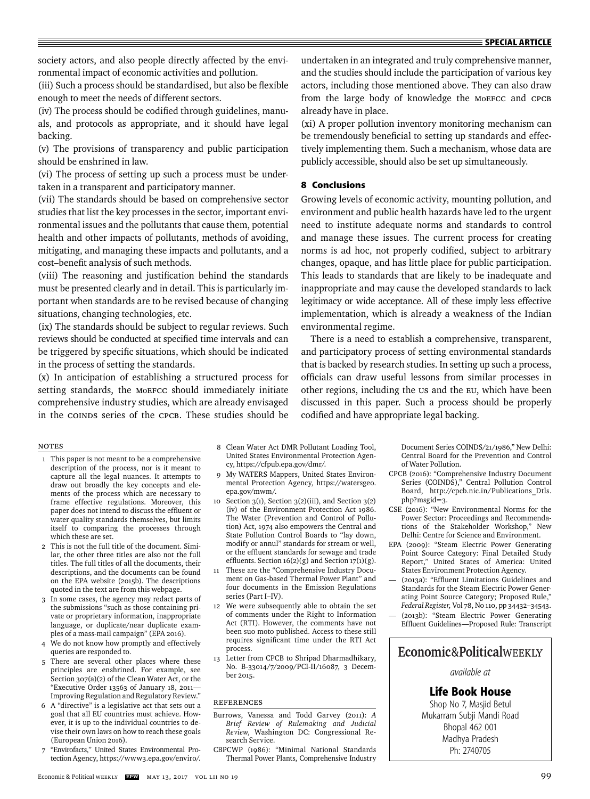society actors, and also people directly affected by the environmental impact of economic activities and pollution.

(iii) Such a process should be standardised, but also be flexible enough to meet the needs of different sectors.

(iv) The process should be codified through guidelines, manuals, and protocols as appropriate, and it should have legal backing.

(v) The provisions of transparency and public participation should be enshrined in law.

(vi) The process of setting up such a process must be undertaken in a transparent and participatory manner.

(vii) The standards should be based on comprehensive sector studies that list the key processes in the sector, important environmental issues and the pollutants that cause them, potential health and other impacts of pollutants, methods of avoiding, mitigating, and managing these impacts and pollutants, and a cost-benefit analysis of such methods.

(viii) The reasoning and justification behind the standards must be presented clearly and in detail. This is particularly important when standards are to be revised because of changing situations, changing technologies, etc.

(ix) The standards should be subject to regular reviews. Such reviews should be conducted at specified time intervals and can be triggered by specific situations, which should be indicated in the process of setting the standards.

(x) In anticipation of establishing a structured process for setting standards, the MoEFCC should immediately initiate comprehensive industry studies, which are already envisaged in the COINDS series of the CPCB. These studies should be

# Notes

- 1 This paper is not meant to be a comprehensive description of the process, nor is it meant to capture all the legal nuances. It attempts to draw out broadly the key concepts and elements of the process which are necessary to frame effective regulations. Moreover, this paper does not intend to discuss the effluent or water quality standards themselves, but limits itself to comparing the processes through which these are set.
- 2 This is not the full title of the document. Similar, the other three titles are also not the full titles. The full titles of all the documents, their descriptions, and the documents can be found on the EPA website (2015b). The descriptions quoted in the text are from this webpage.
- 3 In some cases, the agency may redact parts of the submissions "such as those containing private or proprietary information, inappropriate language, or duplicate/near duplicate examples of a mass-mail campaign" (EPA 2016).
- 4 We do not know how promptly and effectively queries are responded to.
- 5 There are several other places where these principles are enshrined. For example, see Section 307(a)(2) of the Clean Water Act, or the "Executive Order 13563 of January 18, 2011— Improving Regulation and Regulatory Review."
- 6 A "directive" is a legislative act that sets out a goal that all EU countries must achieve. However, it is up to the individual countries to devise their own laws on how to reach these goals (European Union 2016).
- 7 "Envirofacts," United States Environmental Protection Agency, https://www3.epa.gov/enviro/.
- 8 Clean Water Act DMR Pollutant Loading Tool, United States Environmental Protection Agency, https://cfpub.epa.gov/dmr/.
- 9 My WATERS Mappers, United States Environmental Protection Agency, https://watersgeo. epa.gov/mwm/.
- 10 Section  $3(1)$ , Section  $3(2)(iii)$ , and Section  $3(2)$ (iv) of the Environment Protection Act 1986. The Water (Prevention and Control of Pollution) Act, 1974 also empowers the Central and State Pollution Control Boards to "lay down, modify or annul" standards for stream or well, or the effluent standards for sewage and trade effluents. Section  $16(2)(g)$  and Section  $17(1)(g)$ .
- 11 These are the "Comprehensive Industry Document on Gas-based Thermal Power Plant" and four documents in the Emission Regulations series (Part I–IV).
- 12 We were subsequently able to obtain the set of comments under the Right to Information Act (RTI). However, the comments have not been suo moto published. Access to these still requires significant time under the RTI Act process.
- 13 Letter from CPCB to Shripad Dharmadhikary, No. B-33014/7/2009/PCI-II/16087, 3 December 2015.

#### **REFERENCES**

- Burrows, Vanessa and Todd Garvey (2011): *A Brief Review of Rulemaking and Judicial Review,* Washington DC: Congressional Research Service.
- CBPCWP (1986): "Minimal National Standards Thermal Power Plants, Comprehensive Industry

undertaken in an integrated and truly comprehensive manner, and the studies should include the participation of various key actors, including those mentioned above. They can also draw from the large body of knowledge the MoEFCC and CPCB already have in place.

(xi) A proper pollution inventory monitoring mechanism can be tremendously beneficial to setting up standards and effectively implementing them. Such a mechanism, whose data are publicly accessible, should also be set up simultaneously.

# **8 Conclusions**

Growing levels of economic activity, mounting pollution, and environment and public health hazards have led to the urgent need to institute adequate norms and standards to control and manage these issues. The current process for creating norms is ad hoc, not properly codified, subject to arbitrary changes, opaque, and has little place for public participation. This leads to standards that are likely to be inadequate and inappropriate and may cause the developed standards to lack legitimacy or wide acceptance. All of these imply less effective implementation, which is already a weakness of the Indian environmental regime.

There is a need to establish a comprehensive, transparent, and participatory process of setting environmental standards that is backed by research studies. In setting up such a process, officials can draw useful lessons from similar processes in other regions, including the us and the EU, which have been discussed in this paper. Such a process should be properly codified and have appropriate legal backing.

> Document Series COINDS/21/1986," New Delhi: Central Board for the Prevention and Control of Water Pollution.

- CPCB (2016): "Comprehensive Industry Document Series (COINDS)," Central Pollution Control Board, http://cpcb.nic.in/Publications\_Dtls. php?msgid=3.
- CSE (2016): "New Environmental Norms for the Power Sector: Proceedings and Recommendations of the Stakeholder Workshop," New Delhi: Centre for Science and Environment.
- EPA (2009): "Steam Electric Power Generating Point Source Category: Final Detailed Study Report," United States of America: United States Environment Protection Agency.
- (2013a): "Effluent Limitations Guidelines and Standards for the Steam Electric Power Generating Point Source Category; Proposed Rule," *Federal Register,* Vol 78, No 110, pp 34432–34543. (2013b): "Steam Electric Power Generating
- Effluent Guidelines—Proposed Rule: Transcript

# Economic&PoliticalWEEKLY

*available at*

# **Life Book House**

Shop No 7, Masjid Betul Mukarram Subji Mandi Road Bhopal 462 001 Madhya Pradesh Ph: 2740705